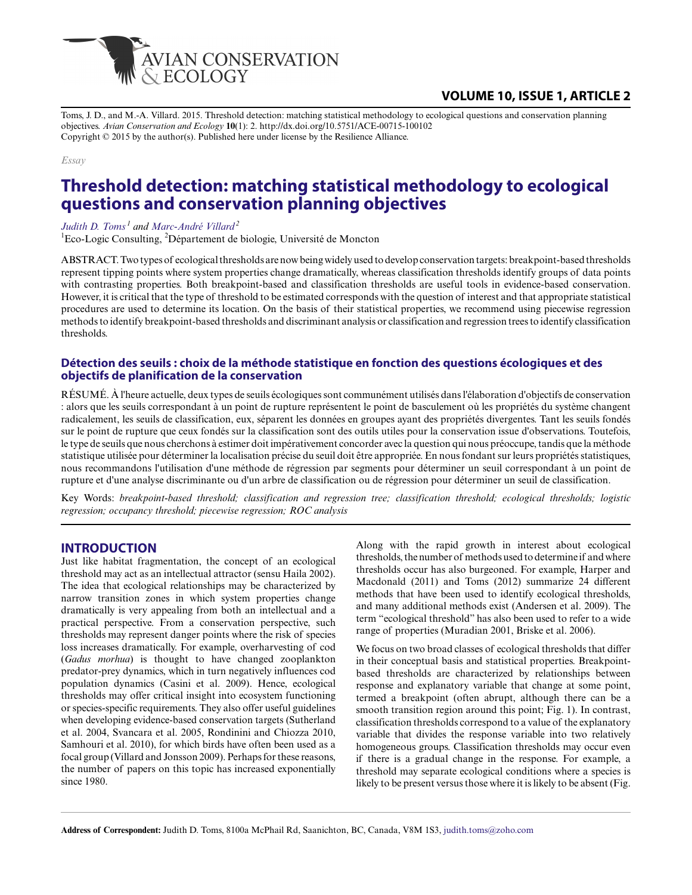

# **VOLUME 10, ISSUE 1, ARTICLE 2**

Toms, J. D., and M.-A. Villard. 2015. Threshold detection: matching statistical methodology to ecological questions and conservation planning objectives. *Avian Conservation and Ecology* **10**(1): 2. http://dx.doi.org/10.5751/ACE-00715-100102 Copyright © 2015 by the author(s). Published here under license by the Resilience Alliance.

#### *Essay*

# **Threshold detection: matching statistical methodology to ecological questions and conservation planning objectives**

*[Judith D. Toms](mailto:judith.toms@zoho.com)<sup>1</sup> and [Marc-André Villard](mailto:marc-andre.villard@umoncton.ca)<sup>2</sup>*

 ${}^{1}$ Eco-Logic Consulting,  ${}^{2}$ Département de biologie, Université de Moncton

ABSTRACT. Two types of ecological thresholds are now being widely used to develop conservation targets: breakpoint-based thresholds represent tipping points where system properties change dramatically, whereas classification thresholds identify groups of data points with contrasting properties. Both breakpoint-based and classification thresholds are useful tools in evidence-based conservation. However, it is critical that the type of threshold to be estimated corresponds with the question of interest and that appropriate statistical procedures are used to determine its location. On the basis of their statistical properties, we recommend using piecewise regression methods to identify breakpoint-based thresholds and discriminant analysis or classification and regression trees to identify classification thresholds.

#### **Détection des seuils : choix de la méthode statistique en fonction des questions écologiques et des objectifs de planification de la conservation**

RÉSUMÉ. À l'heure actuelle, deux types de seuils écologiques sont communément utilisés dans l'élaboration d'objectifs de conservation : alors que les seuils correspondant à un point de rupture représentent le point de basculement où les propriétés du système changent radicalement, les seuils de classification, eux, séparent les données en groupes ayant des propriétés divergentes. Tant les seuils fondés sur le point de rupture que ceux fondés sur la classification sont des outils utiles pour la conservation issue d'observations. Toutefois, le type de seuils que nous cherchons à estimer doit impérativement concorder avec la question qui nous préoccupe, tandis que la méthode statistique utilisée pour déterminer la localisation précise du seuil doit être appropriée. En nous fondant sur leurs propriétés statistiques, nous recommandons l'utilisation d'une méthode de régression par segments pour déterminer un seuil correspondant à un point de rupture et d'une analyse discriminante ou d'un arbre de classification ou de régression pour déterminer un seuil de classification.

Key Words: *breakpoint-based threshold; classification and regression tree; classification threshold; ecological thresholds; logistic regression; occupancy threshold; piecewise regression; ROC analysis*

## **INTRODUCTION**

Just like habitat fragmentation, the concept of an ecological threshold may act as an intellectual attractor (sensu Haila 2002). The idea that ecological relationships may be characterized by narrow transition zones in which system properties change dramatically is very appealing from both an intellectual and a practical perspective. From a conservation perspective, such thresholds may represent danger points where the risk of species loss increases dramatically. For example, overharvesting of cod (*Gadus morhua*) is thought to have changed zooplankton predator-prey dynamics, which in turn negatively influences cod population dynamics (Casini et al. 2009). Hence, ecological thresholds may offer critical insight into ecosystem functioning or species-specific requirements. They also offer useful guidelines when developing evidence-based conservation targets (Sutherland et al. 2004, Svancara et al. 2005, Rondinini and Chiozza 2010, Samhouri et al. 2010), for which birds have often been used as a focal group (Villard and Jonsson 2009). Perhaps for these reasons, the number of papers on this topic has increased exponentially since 1980.

Along with the rapid growth in interest about ecological thresholds, the number of methods used to determine if and where thresholds occur has also burgeoned. For example, Harper and Macdonald (2011) and Toms (2012) summarize 24 different methods that have been used to identify ecological thresholds, and many additional methods exist (Andersen et al. 2009). The term "ecological threshold" has also been used to refer to a wide range of properties (Muradian 2001, Briske et al. 2006).

We focus on two broad classes of ecological thresholds that differ in their conceptual basis and statistical properties. Breakpointbased thresholds are characterized by relationships between response and explanatory variable that change at some point, termed a breakpoint (often abrupt, although there can be a smooth transition region around this point; Fig. 1). In contrast, classification thresholds correspond to a value of the explanatory variable that divides the response variable into two relatively homogeneous groups. Classification thresholds may occur even if there is a gradual change in the response. For example, a threshold may separate ecological conditions where a species is likely to be present versus those where it is likely to be absent (Fig.

**Address of Correspondent:** Judith D. Toms, 8100a McPhail Rd, Saanichton, BC, Canada, V8M 1S3, [judith.toms@zoho.com](mailto:judith.toms@zoho.com)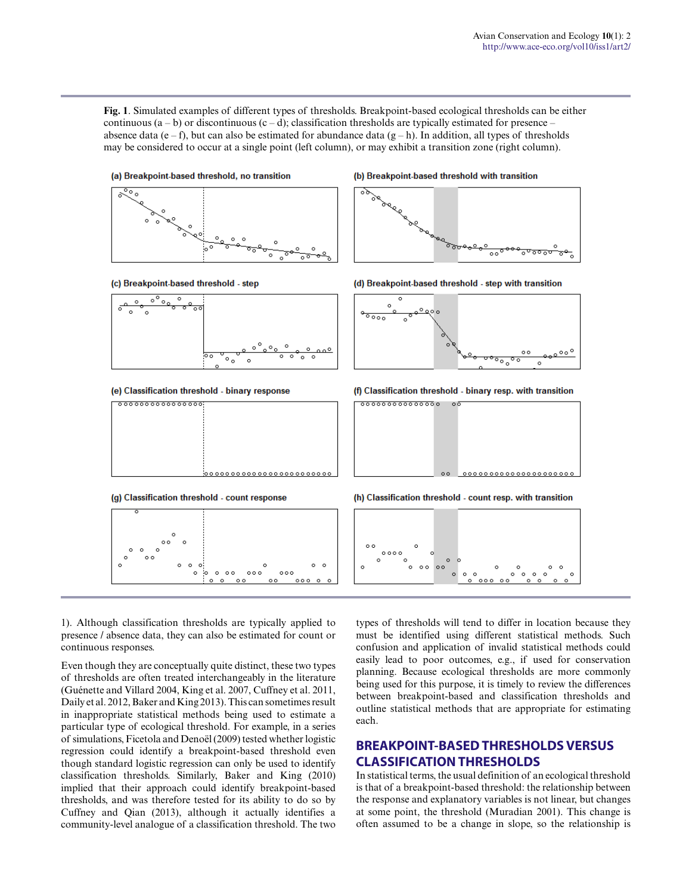**Fig. 1**. Simulated examples of different types of thresholds. Breakpoint-based ecological thresholds can be either continuous  $(a - b)$  or discontinuous  $(c - d)$ ; classification thresholds are typically estimated for presence – absence data (e – f), but can also be estimated for abundance data  $(g - h)$ . In addition, all types of thresholds may be considered to occur at a single point (left column), or may exhibit a transition zone (right column).



(c) Breakpoint-based threshold - step



(e) Classification threshold - binary response



(g) Classification threshold - count response

#### (b) Breakpoint-based threshold with transition



(d) Breakpoint-based threshold - step with transition



(f) Classification threshold - binary resp. with transition



(h) Classification threshold - count resp. with transition



1). Although classification thresholds are typically applied to presence / absence data, they can also be estimated for count or continuous responses.

Even though they are conceptually quite distinct, these two types of thresholds are often treated interchangeably in the literature (Guénette and Villard 2004, King et al. 2007, Cuffney et al. 2011, Daily et al. 2012, Baker and King 2013). This can sometimes result in inappropriate statistical methods being used to estimate a particular type of ecological threshold. For example, in a series of simulations, Ficetola and Denoël (2009) tested whether logistic regression could identify a breakpoint-based threshold even though standard logistic regression can only be used to identify classification thresholds. Similarly, Baker and King (2010) implied that their approach could identify breakpoint-based thresholds, and was therefore tested for its ability to do so by Cuffney and Qian (2013), although it actually identifies a community-level analogue of a classification threshold. The two types of thresholds will tend to differ in location because they must be identified using different statistical methods. Such confusion and application of invalid statistical methods could easily lead to poor outcomes, e.g., if used for conservation planning. Because ecological thresholds are more commonly being used for this purpose, it is timely to review the differences between breakpoint-based and classification thresholds and outline statistical methods that are appropriate for estimating each.

# **BREAKPOINT-BASED THRESHOLDS VERSUS CLASSIFICATION THRESHOLDS**

In statistical terms, the usual definition of an ecological threshold is that of a breakpoint-based threshold: the relationship between the response and explanatory variables is not linear, but changes at some point, the threshold (Muradian 2001). This change is often assumed to be a change in slope, so the relationship is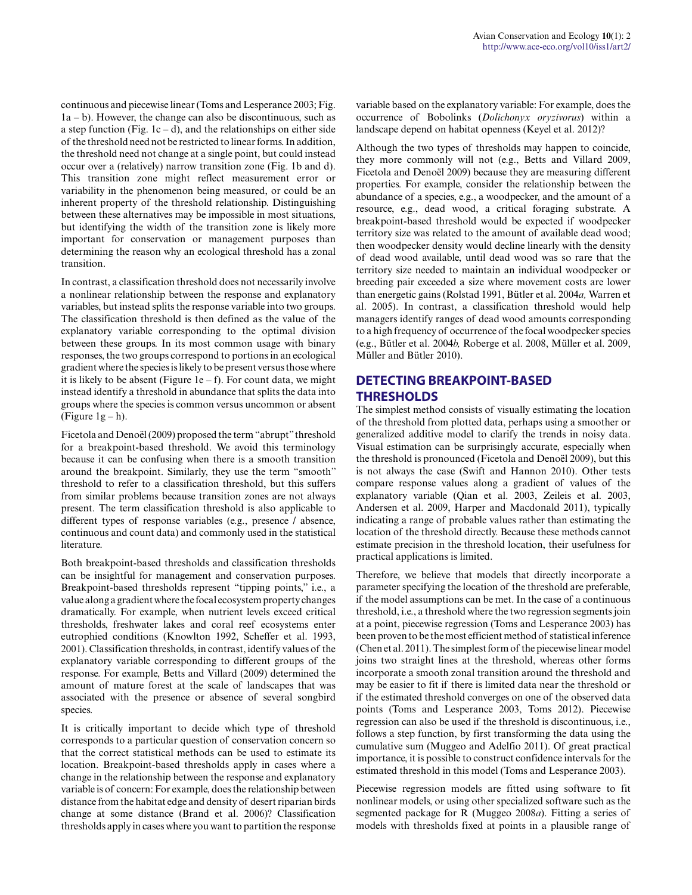continuous and piecewise linear (Toms and Lesperance 2003; Fig. 1a – b). However, the change can also be discontinuous, such as a step function (Fig.  $1c - d$ ), and the relationships on either side of the threshold need not be restricted to linear forms. In addition, the threshold need not change at a single point, but could instead occur over a (relatively) narrow transition zone (Fig. 1b and d). This transition zone might reflect measurement error or variability in the phenomenon being measured, or could be an inherent property of the threshold relationship. Distinguishing between these alternatives may be impossible in most situations, but identifying the width of the transition zone is likely more important for conservation or management purposes than determining the reason why an ecological threshold has a zonal transition.

In contrast, a classification threshold does not necessarily involve a nonlinear relationship between the response and explanatory variables, but instead splits the response variable into two groups. The classification threshold is then defined as the value of the explanatory variable corresponding to the optimal division between these groups. In its most common usage with binary responses, the two groups correspond to portions in an ecological gradient where the species is likely to be present versus those where it is likely to be absent (Figure 1e – f). For count data, we might instead identify a threshold in abundance that splits the data into groups where the species is common versus uncommon or absent (Figure  $1g - h$ ).

Ficetola and Denoël (2009) proposed the term "abrupt" threshold for a breakpoint-based threshold. We avoid this terminology because it can be confusing when there is a smooth transition around the breakpoint. Similarly, they use the term "smooth" threshold to refer to a classification threshold, but this suffers from similar problems because transition zones are not always present. The term classification threshold is also applicable to different types of response variables (e.g., presence / absence, continuous and count data) and commonly used in the statistical literature.

Both breakpoint-based thresholds and classification thresholds can be insightful for management and conservation purposes. Breakpoint-based thresholds represent "tipping points," i.e., a value along a gradient where the focal ecosystem property changes dramatically. For example, when nutrient levels exceed critical thresholds, freshwater lakes and coral reef ecosystems enter eutrophied conditions (Knowlton 1992, Scheffer et al. 1993, 2001). Classification thresholds, in contrast, identify values of the explanatory variable corresponding to different groups of the response. For example, Betts and Villard (2009) determined the amount of mature forest at the scale of landscapes that was associated with the presence or absence of several songbird species.

It is critically important to decide which type of threshold corresponds to a particular question of conservation concern so that the correct statistical methods can be used to estimate its location. Breakpoint-based thresholds apply in cases where a change in the relationship between the response and explanatory variable is of concern: For example, does the relationship between distance from the habitat edge and density of desert riparian birds change at some distance (Brand et al. 2006)? Classification thresholds apply in cases where you want to partition the response variable based on the explanatory variable: For example, does the occurrence of Bobolinks (*Dolichonyx oryzivorus*) within a landscape depend on habitat openness (Keyel et al. 2012)?

Although the two types of thresholds may happen to coincide, they more commonly will not (e.g., Betts and Villard 2009, Ficetola and Denoël 2009) because they are measuring different properties. For example, consider the relationship between the abundance of a species, e.g., a woodpecker, and the amount of a resource, e.g., dead wood, a critical foraging substrate. A breakpoint-based threshold would be expected if woodpecker territory size was related to the amount of available dead wood; then woodpecker density would decline linearly with the density of dead wood available, until dead wood was so rare that the territory size needed to maintain an individual woodpecker or breeding pair exceeded a size where movement costs are lower than energetic gains (Rolstad 1991, Bütler et al. 2004*a,* Warren et al. 2005). In contrast, a classification threshold would help managers identify ranges of dead wood amounts corresponding to a high frequency of occurrence of the focal woodpecker species (e.g., Bütler et al. 2004*b,* Roberge et al. 2008, Müller et al. 2009, Müller and Bütler 2010).

# **DETECTING BREAKPOINT-BASED THRESHOLDS**

The simplest method consists of visually estimating the location of the threshold from plotted data, perhaps using a smoother or generalized additive model to clarify the trends in noisy data. Visual estimation can be surprisingly accurate, especially when the threshold is pronounced (Ficetola and Denoël 2009), but this is not always the case (Swift and Hannon 2010). Other tests compare response values along a gradient of values of the explanatory variable (Qian et al. 2003, Zeileis et al. 2003, Andersen et al. 2009, Harper and Macdonald 2011), typically indicating a range of probable values rather than estimating the location of the threshold directly. Because these methods cannot estimate precision in the threshold location, their usefulness for practical applications is limited.

Therefore, we believe that models that directly incorporate a parameter specifying the location of the threshold are preferable, if the model assumptions can be met. In the case of a continuous threshold, i.e., a threshold where the two regression segments join at a point, piecewise regression (Toms and Lesperance 2003) has been proven to be the most efficient method of statistical inference (Chen et al. 2011). The simplest form of the piecewise linear model joins two straight lines at the threshold, whereas other forms incorporate a smooth zonal transition around the threshold and may be easier to fit if there is limited data near the threshold or if the estimated threshold converges on one of the observed data points (Toms and Lesperance 2003, Toms 2012). Piecewise regression can also be used if the threshold is discontinuous, i.e., follows a step function, by first transforming the data using the cumulative sum (Muggeo and Adelfio 2011). Of great practical importance, it is possible to construct confidence intervals for the estimated threshold in this model (Toms and Lesperance 2003).

Piecewise regression models are fitted using software to fit nonlinear models, or using other specialized software such as the segmented package for R (Muggeo 2008*a*). Fitting a series of models with thresholds fixed at points in a plausible range of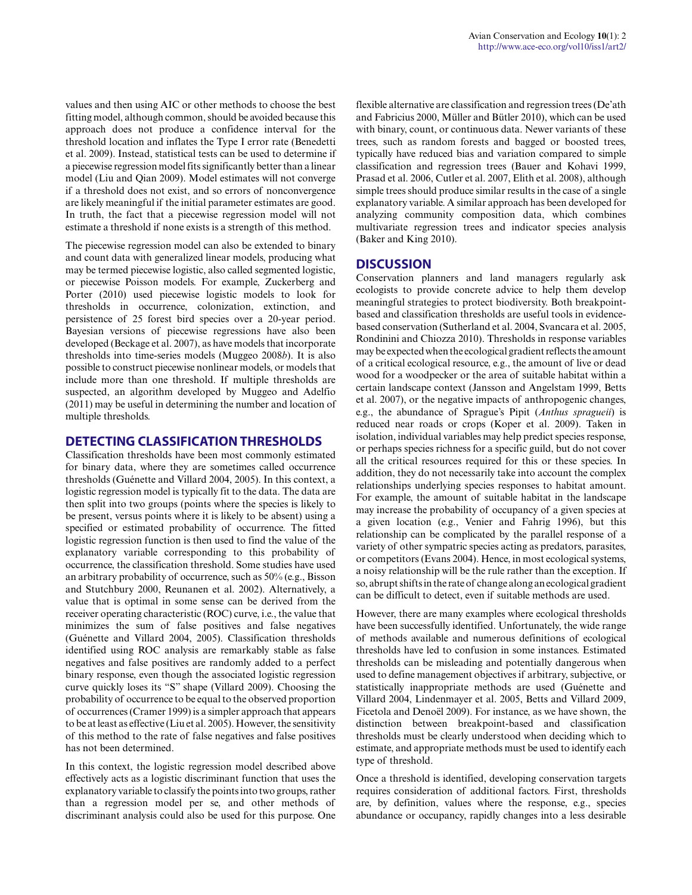values and then using AIC or other methods to choose the best fitting model, although common, should be avoided because this approach does not produce a confidence interval for the threshold location and inflates the Type I error rate (Benedetti et al. 2009). Instead, statistical tests can be used to determine if a piecewise regression model fits significantly better than a linear model (Liu and Qian 2009). Model estimates will not converge if a threshold does not exist, and so errors of nonconvergence are likely meaningful if the initial parameter estimates are good. In truth, the fact that a piecewise regression model will not estimate a threshold if none exists is a strength of this method.

The piecewise regression model can also be extended to binary and count data with generalized linear models, producing what may be termed piecewise logistic, also called segmented logistic, or piecewise Poisson models. For example, Zuckerberg and Porter (2010) used piecewise logistic models to look for thresholds in occurrence, colonization, extinction, and persistence of 25 forest bird species over a 20-year period. Bayesian versions of piecewise regressions have also been developed (Beckage et al. 2007), as have models that incorporate thresholds into time-series models (Muggeo 2008*b*). It is also possible to construct piecewise nonlinear models, or models that include more than one threshold. If multiple thresholds are suspected, an algorithm developed by Muggeo and Adelfio (2011) may be useful in determining the number and location of multiple thresholds.

#### **DETECTING CLASSIFICATION THRESHOLDS**

Classification thresholds have been most commonly estimated for binary data, where they are sometimes called occurrence thresholds (Guénette and Villard 2004, 2005). In this context, a logistic regression model is typically fit to the data. The data are then split into two groups (points where the species is likely to be present, versus points where it is likely to be absent) using a specified or estimated probability of occurrence. The fitted logistic regression function is then used to find the value of the explanatory variable corresponding to this probability of occurrence, the classification threshold. Some studies have used an arbitrary probability of occurrence, such as 50% (e.g., Bisson and Stutchbury 2000, Reunanen et al. 2002). Alternatively, a value that is optimal in some sense can be derived from the receiver operating characteristic (ROC) curve, i.e., the value that minimizes the sum of false positives and false negatives (Guénette and Villard 2004, 2005). Classification thresholds identified using ROC analysis are remarkably stable as false negatives and false positives are randomly added to a perfect binary response, even though the associated logistic regression curve quickly loses its "S" shape (Villard 2009). Choosing the probability of occurrence to be equal to the observed proportion of occurrences (Cramer 1999) is a simpler approach that appears to be at least as effective (Liu et al. 2005). However, the sensitivity of this method to the rate of false negatives and false positives has not been determined.

In this context, the logistic regression model described above effectively acts as a logistic discriminant function that uses the explanatory variable to classify the points into two groups, rather than a regression model per se, and other methods of discriminant analysis could also be used for this purpose. One flexible alternative are classification and regression trees (De'ath and Fabricius 2000, Müller and Bütler 2010), which can be used with binary, count, or continuous data. Newer variants of these trees, such as random forests and bagged or boosted trees, typically have reduced bias and variation compared to simple classification and regression trees (Bauer and Kohavi 1999, Prasad et al. 2006, Cutler et al. 2007, Elith et al. 2008), although simple trees should produce similar results in the case of a single explanatory variable. A similar approach has been developed for analyzing community composition data, which combines multivariate regression trees and indicator species analysis (Baker and King 2010).

## **DISCUSSION**

Conservation planners and land managers regularly ask ecologists to provide concrete advice to help them develop meaningful strategies to protect biodiversity. Both breakpointbased and classification thresholds are useful tools in evidencebased conservation (Sutherland et al. 2004, Svancara et al. 2005, Rondinini and Chiozza 2010). Thresholds in response variables may be expected when the ecological gradient reflects the amount of a critical ecological resource, e.g., the amount of live or dead wood for a woodpecker or the area of suitable habitat within a certain landscape context (Jansson and Angelstam 1999, Betts et al. 2007), or the negative impacts of anthropogenic changes, e.g., the abundance of Sprague's Pipit (*Anthus spragueii*) is reduced near roads or crops (Koper et al. 2009). Taken in isolation, individual variables may help predict species response, or perhaps species richness for a specific guild, but do not cover all the critical resources required for this or these species. In addition, they do not necessarily take into account the complex relationships underlying species responses to habitat amount. For example, the amount of suitable habitat in the landscape may increase the probability of occupancy of a given species at a given location (e.g., Venier and Fahrig 1996), but this relationship can be complicated by the parallel response of a variety of other sympatric species acting as predators, parasites, or competitors (Evans 2004). Hence, in most ecological systems, a noisy relationship will be the rule rather than the exception. If so, abrupt shifts in the rate of change along an ecological gradient can be difficult to detect, even if suitable methods are used.

However, there are many examples where ecological thresholds have been successfully identified. Unfortunately, the wide range of methods available and numerous definitions of ecological thresholds have led to confusion in some instances. Estimated thresholds can be misleading and potentially dangerous when used to define management objectives if arbitrary, subjective, or statistically inappropriate methods are used (Guénette and Villard 2004, Lindenmayer et al. 2005, Betts and Villard 2009, Ficetola and Denoël 2009). For instance, as we have shown, the distinction between breakpoint-based and classification thresholds must be clearly understood when deciding which to estimate, and appropriate methods must be used to identify each type of threshold.

Once a threshold is identified, developing conservation targets requires consideration of additional factors. First, thresholds are, by definition, values where the response, e.g., species abundance or occupancy, rapidly changes into a less desirable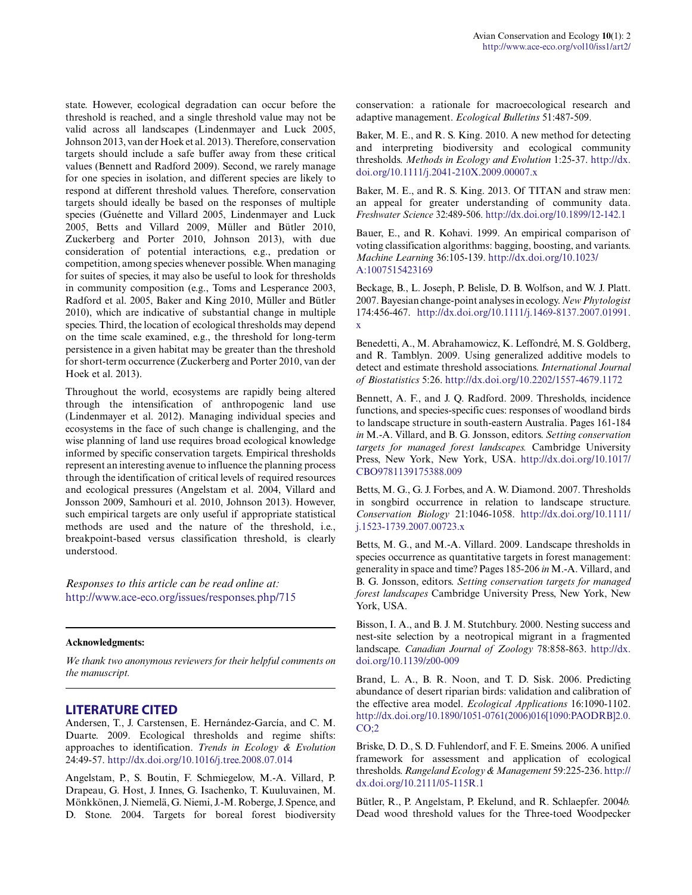state. However, ecological degradation can occur before the threshold is reached, and a single threshold value may not be valid across all landscapes (Lindenmayer and Luck 2005, Johnson 2013, van der Hoek et al. 2013). Therefore, conservation targets should include a safe buffer away from these critical values (Bennett and Radford 2009). Second, we rarely manage for one species in isolation, and different species are likely to respond at different threshold values. Therefore, conservation targets should ideally be based on the responses of multiple species (Guénette and Villard 2005, Lindenmayer and Luck 2005, Betts and Villard 2009, Müller and Bütler 2010, Zuckerberg and Porter 2010, Johnson 2013), with due consideration of potential interactions, e.g., predation or competition, among species whenever possible. When managing for suites of species, it may also be useful to look for thresholds in community composition (e.g., Toms and Lesperance 2003, Radford et al. 2005, Baker and King 2010, Müller and Bütler 2010), which are indicative of substantial change in multiple species. Third, the location of ecological thresholds may depend on the time scale examined, e.g., the threshold for long-term persistence in a given habitat may be greater than the threshold for short-term occurrence (Zuckerberg and Porter 2010, van der Hoek et al. 2013).

Throughout the world, ecosystems are rapidly being altered through the intensification of anthropogenic land use (Lindenmayer et al. 2012). Managing individual species and ecosystems in the face of such change is challenging, and the wise planning of land use requires broad ecological knowledge informed by specific conservation targets. Empirical thresholds represent an interesting avenue to influence the planning process through the identification of critical levels of required resources and ecological pressures (Angelstam et al. 2004, Villard and Jonsson 2009, Samhouri et al. 2010, Johnson 2013). However, such empirical targets are only useful if appropriate statistical methods are used and the nature of the threshold, i.e., breakpoint-based versus classification threshold, is clearly understood.

*Responses to this article can be read online at:* <http://www.ace-eco.org/issues/responses.php/715>

## **Acknowledgments:**

*We thank two anonymous reviewers for their helpful comments on the manuscript.*

# **LITERATURE CITED**

Andersen, T., J. Carstensen, E. Hernández-García, and C. M. Duarte. 2009. Ecological thresholds and regime shifts: approaches to identification. *Trends in Ecology & Evolution* 24:49-57. [http://dx.doi.org/10.1016/j.tree.2008.07.014](http://dx.doi.org/10.1016%2Fj.tree.2008.07.014) 

Angelstam, P., S. Boutin, F. Schmiegelow, M.-A. Villard, P. Drapeau, G. Host, J. Innes, G. Isachenko, T. Kuuluvainen, M. Mönkkönen, J. Niemelä, G. Niemi, J.-M. Roberge, J. Spence, and D. Stone. 2004. Targets for boreal forest biodiversity conservation: a rationale for macroecological research and adaptive management. *Ecological Bulletins* 51:487-509.

Baker, M. E., and R. S. King. 2010. A new method for detecting and interpreting biodiversity and ecological community thresholds. *Methods in Ecology and Evolution* 1:25-37. [http://dx.](http://dx.doi.org/10.1111%2Fj.2041-210X.2009.00007.x) [doi.org/10.1111/j.2041-210X.2009.00007.x](http://dx.doi.org/10.1111%2Fj.2041-210X.2009.00007.x) 

Baker, M. E., and R. S. King. 2013. Of TITAN and straw men: an appeal for greater understanding of community data. *Freshwater Science* 32:489-506. [http://dx.doi.org/10.1899/12-142.1](http://dx.doi.org/10.1899%2F12-142.1) 

Bauer, E., and R. Kohavi. 1999. An empirical comparison of voting classification algorithms: bagging, boosting, and variants. *Machine Learning* 36:105-139. [http://dx.doi.org/10.1023/](http://dx.doi.org/10.1023%2FA%3A1007515423169) [A:1007515423169](http://dx.doi.org/10.1023%2FA%3A1007515423169) 

Beckage, B., L. Joseph, P. Belisle, D. B. Wolfson, and W. J. Platt. 2007. Bayesian change-point analyses in ecology. *New Phytologist* 174:456-467. [http://dx.doi.org/10.1111/j.1469-8137.2007.01991.](http://dx.doi.org/10.1111%2Fj.1469-8137.2007.01991.x) [x](http://dx.doi.org/10.1111%2Fj.1469-8137.2007.01991.x) 

Benedetti, A., M. Abrahamowicz, K. Leffondré, M. S. Goldberg, and R. Tamblyn. 2009. Using generalized additive models to detect and estimate threshold associations. *International Journal of Biostatistics* 5:26. [http://dx.doi.org/10.2202/1557-4679.1172](http://dx.doi.org/10.2202%2F1557-4679.1172) 

Bennett, A. F., and J. Q. Radford. 2009. Thresholds, incidence functions, and species-specific cues: responses of woodland birds to landscape structure in south-eastern Australia. Pages 161-184 *in* M.-A. Villard, and B. G. Jonsson, editors. *Setting conservation targets for managed forest landscapes.* Cambridge University Press, New York, New York, USA. [http://dx.doi.org/10.1017/](http://dx.doi.org/10.1017%2FCBO9781139175388.009) [CBO9781139175388.009](http://dx.doi.org/10.1017%2FCBO9781139175388.009) 

Betts, M. G., G. J. Forbes, and A. W. Diamond. 2007. Thresholds in songbird occurrence in relation to landscape structure. *Conservation Biology* 21:1046-1058. [http://dx.doi.org/10.1111/](http://dx.doi.org/10.1111%2Fj.1523-1739.2007.00723.x) [j.1523-1739.2007.00723.x](http://dx.doi.org/10.1111%2Fj.1523-1739.2007.00723.x)

Betts, M. G., and M.-A. Villard. 2009. Landscape thresholds in species occurrence as quantitative targets in forest management: generality in space and time? Pages 185-206 *in* M.-A. Villard, and B. G. Jonsson, editors. *Setting conservation targets for managed forest landscapes* Cambridge University Press, New York, New York, USA.

Bisson, I. A., and B. J. M. Stutchbury. 2000. Nesting success and nest-site selection by a neotropical migrant in a fragmented landscape. *Canadian Journal of Zoology* 78:858-863. [http://dx.](http://dx.doi.org/10.1139%2Fz00-009) [doi.org/10.1139/z00-009](http://dx.doi.org/10.1139%2Fz00-009)

Brand, L. A., B. R. Noon, and T. D. Sisk. 2006. Predicting abundance of desert riparian birds: validation and calibration of the effective area model. *Ecological Applications* 16:1090-1102. [http://dx.doi.org/10.1890/1051-0761\(2006\)016\[1090:PAODRB\]2.0.](http://dx.doi.org/10.1890%2F1051-0761%282006%29016%5B1090%3APAODRB%5D2.0.CO%3B2) [CO;2](http://dx.doi.org/10.1890%2F1051-0761%282006%29016%5B1090%3APAODRB%5D2.0.CO%3B2)

Briske, D. D., S. D. Fuhlendorf, and F. E. Smeins. 2006. A unified framework for assessment and application of ecological thresholds. *Rangeland Ecology & Management* 59:225-236. [http://](http://dx.doi.org/10.2111%2F05-115R.1) [dx.doi.org/10.2111/05-115R.1](http://dx.doi.org/10.2111%2F05-115R.1)

Bütler, R., P. Angelstam, P. Ekelund, and R. Schlaepfer. 2004*b.* Dead wood threshold values for the Three-toed Woodpecker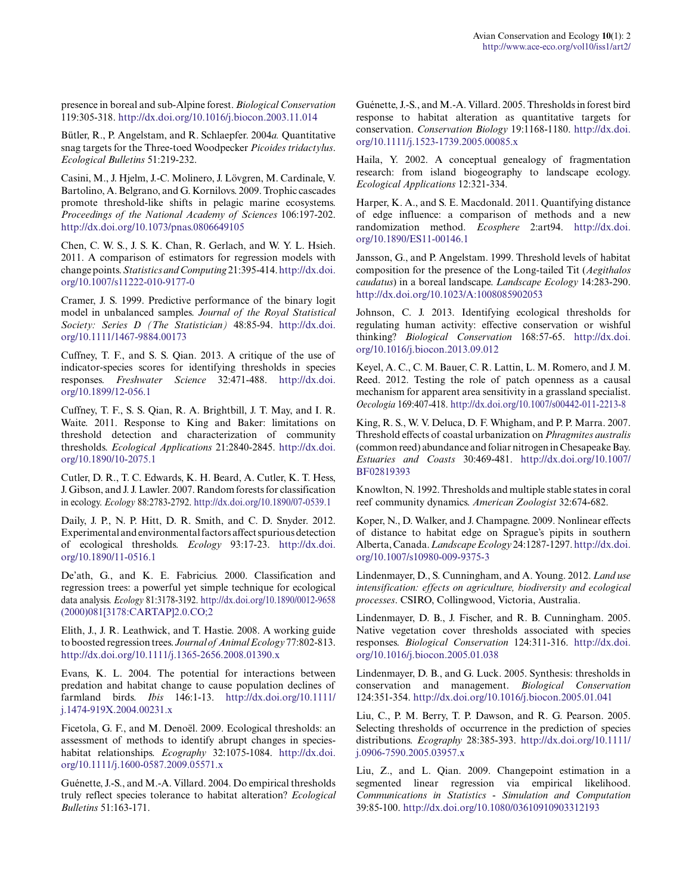presence in boreal and sub-Alpine forest. *Biological Conservation* 119:305-318. [http://dx.doi.org/10.1016/j.biocon.2003.11.014](http://dx.doi.org/10.1016%2Fj.biocon.2003.11.014) 

Bütler, R., P. Angelstam, and R. Schlaepfer. 2004*a.* Quantitative snag targets for the Three-toed Woodpecker *Picoides tridactylus*. *Ecological Bulletins* 51:219-232.

Casini, M., J. Hjelm, J.-C. Molinero, J. Lövgren, M. Cardinale, V. Bartolino, A. Belgrano, and G. Kornilovs. 2009. Trophic cascades promote threshold-like shifts in pelagic marine ecosystems. *Proceedings of the National Academy of Sciences* 106:197-202. [http://dx.doi.org/10.1073/pnas.0806649105](http://dx.doi.org/10.1073%2Fpnas.0806649105)

Chen, C. W. S., J. S. K. Chan, R. Gerlach, and W. Y. L. Hsieh. 2011. A comparison of estimators for regression models with change points. *Statistics and Computing* 21:395-414. [http://dx.doi.](http://dx.doi.org/10.1007%2Fs11222-010-9177-0) [org/10.1007/s11222-010-9177-0](http://dx.doi.org/10.1007%2Fs11222-010-9177-0)

Cramer, J. S. 1999. Predictive performance of the binary logit model in unbalanced samples. *Journal of the Royal Statistical Society: Series D (The Statistician)* 48:85-94. [http://dx.doi.](http://dx.doi.org/10.1111%2F1467-9884.00173) [org/10.1111/1467-9884.00173](http://dx.doi.org/10.1111%2F1467-9884.00173)

Cuffney, T. F., and S. S. Qian. 2013. A critique of the use of indicator-species scores for identifying thresholds in species responses. *Freshwater Science* 32:471-488. [http://dx.doi.](http://dx.doi.org/10.1899%2F12-056.1) [org/10.1899/12-056.1](http://dx.doi.org/10.1899%2F12-056.1) 

Cuffney, T. F., S. S. Qian, R. A. Brightbill, J. T. May, and I. R. Waite. 2011. Response to King and Baker: limitations on threshold detection and characterization of community thresholds. *Ecological Applications* 21:2840-2845. [http://dx.doi.](http://dx.doi.org/10.1890%2F10-2075.1) [org/10.1890/10-2075.1](http://dx.doi.org/10.1890%2F10-2075.1)

Cutler, D. R., T. C. Edwards, K. H. Beard, A. Cutler, K. T. Hess, J. Gibson, and J. J. Lawler. 2007. Random forests for classification in ecology. *Ecology* 88:2783-2792. [http://dx.doi.org/10.1890/07-0539.1](http://dx.doi.org/10.1890%2F07-0539.1) 

Daily, J. P., N. P. Hitt, D. R. Smith, and C. D. Snyder. 2012. Experimental and environmental factors affect spurious detection of ecological thresholds. *Ecology* 93:17-23. [http://dx.doi.](http://dx.doi.org/10.1890%2F11-0516.1) [org/10.1890/11-0516.1](http://dx.doi.org/10.1890%2F11-0516.1)

De'ath, G., and K. E. Fabricius. 2000. Classification and regression trees: a powerful yet simple technique for ecological data analysis. *Ecology* 81:3178-3192. [http://dx.doi.org/10.1890/0012-9658](http://dx.doi.org/10.1890%2F0012-9658%282000%29081%5B3178%3ACARTAP%5D2.0.CO%3B2) [\(2000\)081\[3178:CARTAP\]2.0.CO;2](http://dx.doi.org/10.1890%2F0012-9658%282000%29081%5B3178%3ACARTAP%5D2.0.CO%3B2)

Elith, J., J. R. Leathwick, and T. Hastie. 2008. A working guide to boosted regression trees. *Journal of Animal Ecology* 77:802-813. [http://dx.doi.org/10.1111/j.1365-2656.2008.01390.x](http://dx.doi.org/10.1111%2Fj.1365-2656.2008.01390.x) 

Evans, K. L. 2004. The potential for interactions between predation and habitat change to cause population declines of farmland birds. *Ibis* 146:1-13. [http://dx.doi.org/10.1111/](http://dx.doi.org/10.1111%2Fj.1474-919X.2004.00231.x) [j.1474-919X.2004.00231.x](http://dx.doi.org/10.1111%2Fj.1474-919X.2004.00231.x) 

Ficetola, G. F., and M. Denoël. 2009. Ecological thresholds: an assessment of methods to identify abrupt changes in specieshabitat relationships. *Ecography* 32:1075-1084. [http://dx.doi.](http://dx.doi.org/10.1111%2Fj.1600-0587.2009.05571.x) [org/10.1111/j.1600-0587.2009.05571.x](http://dx.doi.org/10.1111%2Fj.1600-0587.2009.05571.x)

Guénette, J.-S., and M.-A. Villard. 2004. Do empirical thresholds truly reflect species tolerance to habitat alteration? *Ecological Bulletins* 51:163-171.

Guénette, J.-S., and M.-A. Villard. 2005. Thresholds in forest bird response to habitat alteration as quantitative targets for conservation. *Conservation Biology* 19:1168-1180. [http://dx.doi.](http://dx.doi.org/10.1111%2Fj.1523-1739.2005.00085.x) [org/10.1111/j.1523-1739.2005.00085.x](http://dx.doi.org/10.1111%2Fj.1523-1739.2005.00085.x)

Haila, Y. 2002. A conceptual genealogy of fragmentation research: from island biogeography to landscape ecology. *Ecological Applications* 12:321-334.

Harper, K. A., and S. E. Macdonald. 2011. Quantifying distance of edge influence: a comparison of methods and a new randomization method. *Ecosphere* 2:art94. [http://dx.doi.](http://dx.doi.org/10.1890%2FES11-00146.1) [org/10.1890/ES11-00146.1](http://dx.doi.org/10.1890%2FES11-00146.1) 

Jansson, G., and P. Angelstam. 1999. Threshold levels of habitat composition for the presence of the Long-tailed Tit (*Aegithalos caudatus*) in a boreal landscape. *Landscape Ecology* 14:283-290. [http://dx.doi.org/10.1023/A:1008085902053](http://dx.doi.org/10.1023%2FA%3A1008085902053)

Johnson, C. J. 2013. Identifying ecological thresholds for regulating human activity: effective conservation or wishful thinking? *Biological Conservation* 168:57-65. [http://dx.doi.](http://dx.doi.org/10.1016%2Fj.biocon.2013.09.012) [org/10.1016/j.biocon.2013.09.012](http://dx.doi.org/10.1016%2Fj.biocon.2013.09.012)

Keyel, A. C., C. M. Bauer, C. R. Lattin, L. M. Romero, and J. M. Reed. 2012. Testing the role of patch openness as a causal mechanism for apparent area sensitivity in a grassland specialist. *Oecologia* 169:407-418. [http://dx.doi.org/10.1007/s00442-011-2213-8](http://dx.doi.org/10.1007%2Fs00442-011-2213-8) 

King, R. S., W. V. Deluca, D. F. Whigham, and P. P. Marra. 2007. Threshold effects of coastal urbanization on *Phragmites australis* (common reed) abundance and foliar nitrogen in Chesapeake Bay. *Estuaries and Coasts* 30:469-481. [http://dx.doi.org/10.1007/](http://dx.doi.org/10.1007%2FBF02819393) [BF02819393](http://dx.doi.org/10.1007%2FBF02819393)

Knowlton, N. 1992. Thresholds and multiple stable states in coral reef community dynamics. *American Zoologist* 32:674-682.

Koper, N., D. Walker, and J. Champagne. 2009. Nonlinear effects of distance to habitat edge on Sprague's pipits in southern Alberta, Canada. *Landscape Ecology* 24:1287-1297. [http://dx.doi.](http://dx.doi.org/10.1007%2Fs10980-009-9375-3) [org/10.1007/s10980-009-9375-3](http://dx.doi.org/10.1007%2Fs10980-009-9375-3)

Lindenmayer, D., S. Cunningham, and A. Young. 2012. *Land use intensification: effects on agriculture, biodiversity and ecological processes*. CSIRO, Collingwood, Victoria, Australia.

Lindenmayer, D. B., J. Fischer, and R. B. Cunningham. 2005. Native vegetation cover thresholds associated with species responses. *Biological Conservation* 124:311-316. [http://dx.doi.](http://dx.doi.org/10.1016%2Fj.biocon.2005.01.038) [org/10.1016/j.biocon.2005.01.038](http://dx.doi.org/10.1016%2Fj.biocon.2005.01.038)

Lindenmayer, D. B., and G. Luck. 2005. Synthesis: thresholds in conservation and management. *Biological Conservation* 124:351-354. [http://dx.doi.org/10.1016/j.biocon.2005.01.041](http://dx.doi.org/10.1016%2Fj.biocon.2005.01.041) 

Liu, C., P. M. Berry, T. P. Dawson, and R. G. Pearson. 2005. Selecting thresholds of occurrence in the prediction of species distributions. *Ecography* 28:385-393. [http://dx.doi.org/10.1111/](http://dx.doi.org/10.1111%2Fj.0906-7590.2005.03957.x) [j.0906-7590.2005.03957.x](http://dx.doi.org/10.1111%2Fj.0906-7590.2005.03957.x)

Liu, Z., and L. Qian. 2009. Changepoint estimation in a segmented linear regression via empirical likelihood. *Communications in Statistics - Simulation and Computation* 39:85-100. [http://dx.doi.org/10.1080/03610910903312193](http://dx.doi.org/10.1080%2F03610910903312193)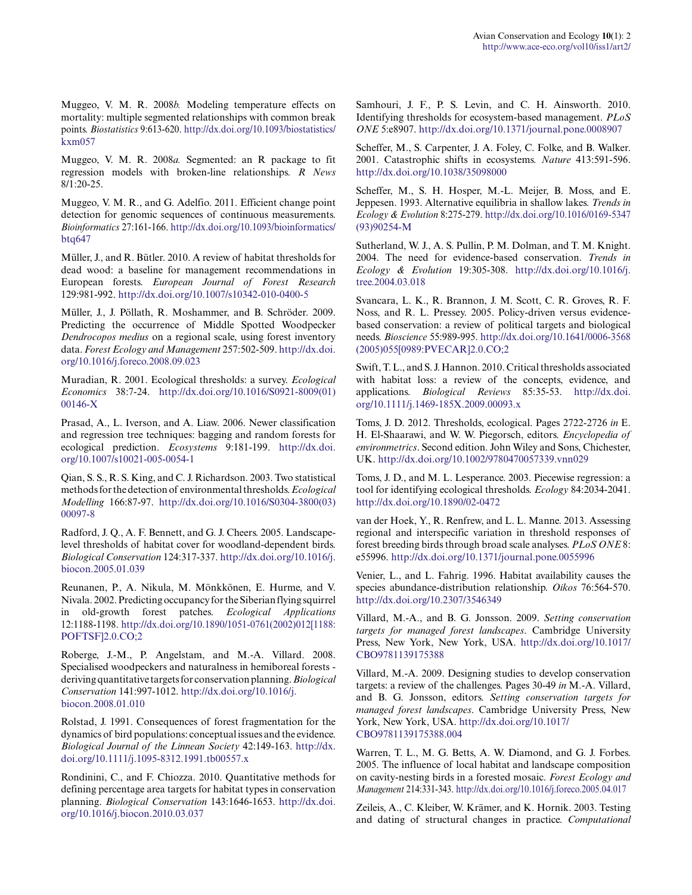Muggeo, V. M. R. 2008*b.* Modeling temperature effects on mortality: multiple segmented relationships with common break points. *Biostatistics* 9:613-620. [http://dx.doi.org/10.1093/biostatistics/](http://dx.doi.org/10.1093%2Fbiostatistics%2Fkxm057) [kxm057](http://dx.doi.org/10.1093%2Fbiostatistics%2Fkxm057)

Muggeo, V. M. R. 2008*a.* Segmented: an R package to fit regression models with broken-line relationships. *R News* 8/1:20-25.

Muggeo, V. M. R., and G. Adelfio. 2011. Efficient change point detection for genomic sequences of continuous measurements. *Bioinformatics* 27:161-166. [http://dx.doi.org/10.1093/bioinformatics/](http://dx.doi.org/10.1093%2Fbioinformatics%2Fbtq647) [btq647](http://dx.doi.org/10.1093%2Fbioinformatics%2Fbtq647)

Müller, J., and R. Bütler. 2010. A review of habitat thresholds for dead wood: a baseline for management recommendations in European forests. *European Journal of Forest Research* 129:981-992. [http://dx.doi.org/10.1007/s10342-010-0400-5](http://dx.doi.org/10.1007%2Fs10342-010-0400-5) 

Müller, J., J. Pöllath, R. Moshammer, and B. Schröder. 2009. Predicting the occurrence of Middle Spotted Woodpecker *Dendrocopos medius* on a regional scale, using forest inventory data. *Forest Ecology and Management* 257:502-509. [http://dx.doi.](http://dx.doi.org/10.1016%2Fj.foreco.2008.09.023) [org/10.1016/j.foreco.2008.09.023](http://dx.doi.org/10.1016%2Fj.foreco.2008.09.023)

Muradian, R. 2001. Ecological thresholds: a survey. *Ecological Economics* 38:7-24. [http://dx.doi.org/10.1016/S0921-8009\(01\)](http://dx.doi.org/10.1016%2FS0921-8009%2801%2900146-X) [00146-X](http://dx.doi.org/10.1016%2FS0921-8009%2801%2900146-X)

Prasad, A., L. Iverson, and A. Liaw. 2006. Newer classification and regression tree techniques: bagging and random forests for ecological prediction. *Ecosystems* 9:181-199. [http://dx.doi.](http://dx.doi.org/10.1007%2Fs10021-005-0054-1) [org/10.1007/s10021-005-0054-1](http://dx.doi.org/10.1007%2Fs10021-005-0054-1)

Qian, S. S., R. S. King, and C. J. Richardson. 2003. Two statistical methods for the detection of environmental thresholds. *Ecological Modelling* 166:87-97. [http://dx.doi.org/10.1016/S0304-3800\(03\)](http://dx.doi.org/10.1016%2FS0304-3800%2803%2900097-8) [00097-8](http://dx.doi.org/10.1016%2FS0304-3800%2803%2900097-8) 

Radford, J. Q., A. F. Bennett, and G. J. Cheers. 2005. Landscapelevel thresholds of habitat cover for woodland-dependent birds. *Biological Conservation* 124:317-337. [http://dx.doi.org/10.1016/j.](http://dx.doi.org/10.1016%2Fj.biocon.2005.01.039) [biocon.2005.01.039](http://dx.doi.org/10.1016%2Fj.biocon.2005.01.039)

Reunanen, P., A. Nikula, M. Mönkkönen, E. Hurme, and V. Nivala. 2002. Predicting occupancy for the Siberian flying squirrel in old-growth forest patches. *Ecological Applications* 12:1188-1198. [http://dx.doi.org/10.1890/1051-0761\(2002\)012\[1188:](http://dx.doi.org/10.1890%2F1051-0761%282002%29012%5B1188%3APOFTSF%5D2.0.CO%3B2) [POFTSF\]2.0.CO;2](http://dx.doi.org/10.1890%2F1051-0761%282002%29012%5B1188%3APOFTSF%5D2.0.CO%3B2)

Roberge, J.-M., P. Angelstam, and M.-A. Villard. 2008. Specialised woodpeckers and naturalness in hemiboreal forests deriving quantitative targets for conservation planning. *Biological Conservation* 141:997-1012. [http://dx.doi.org/10.1016/j.](http://dx.doi.org/10.1016%2Fj.biocon.2008.01.010) [biocon.2008.01.010](http://dx.doi.org/10.1016%2Fj.biocon.2008.01.010)

Rolstad, J. 1991. Consequences of forest fragmentation for the dynamics of bird populations: conceptual issues and the evidence. *Biological Journal of the Linnean Society* 42:149-163. [http://dx.](http://dx.doi.org/10.1111%2Fj.1095-8312.1991.tb00557.x) [doi.org/10.1111/j.1095-8312.1991.tb00557.x](http://dx.doi.org/10.1111%2Fj.1095-8312.1991.tb00557.x)

Rondinini, C., and F. Chiozza. 2010. Quantitative methods for defining percentage area targets for habitat types in conservation planning. *Biological Conservation* 143:1646-1653. [http://dx.doi.](http://dx.doi.org/10.1016%2Fj.biocon.2010.03.037) [org/10.1016/j.biocon.2010.03.037](http://dx.doi.org/10.1016%2Fj.biocon.2010.03.037)

Samhouri, J. F., P. S. Levin, and C. H. Ainsworth. 2010. Identifying thresholds for ecosystem-based management. *PLoS ONE* 5:e8907. [http://dx.doi.org/10.1371/journal.pone.0008907](http://dx.doi.org/10.1371%2Fjournal.pone.0008907)

Scheffer, M., S. Carpenter, J. A. Foley, C. Folke, and B. Walker. 2001. Catastrophic shifts in ecosystems. *Nature* 413:591-596. [http://dx.doi.org/10.1038/35098000](http://dx.doi.org/10.1038%2F35098000)

Scheffer, M., S. H. Hosper, M.-L. Meijer, B. Moss, and E. Jeppesen. 1993. Alternative equilibria in shallow lakes. *Trends in Ecology & Evolution* 8:275-279. [http://dx.doi.org/10.1016/0169-5347](http://dx.doi.org/10.1016%2F0169-5347%2893%2990254-M) [\(93\)90254-M](http://dx.doi.org/10.1016%2F0169-5347%2893%2990254-M)

Sutherland, W. J., A. S. Pullin, P. M. Dolman, and T. M. Knight. 2004. The need for evidence-based conservation. *Trends in Ecology & Evolution* 19:305-308. [http://dx.doi.org/10.1016/j.](http://dx.doi.org/10.1016%2Fj.tree.2004.03.018) [tree.2004.03.018](http://dx.doi.org/10.1016%2Fj.tree.2004.03.018) 

Svancara, L. K., R. Brannon, J. M. Scott, C. R. Groves, R. F. Noss, and R. L. Pressey. 2005. Policy-driven versus evidencebased conservation: a review of political targets and biological needs. *Bioscience* 55:989-995. [http://dx.doi.org/10.1641/0006-3568](http://dx.doi.org/10.1641%2F0006-3568%282005%29055%5B0989%3APVECAR%5D2.0.CO%3B2) [\(2005\)055\[0989:PVECAR\]2.0.CO;2](http://dx.doi.org/10.1641%2F0006-3568%282005%29055%5B0989%3APVECAR%5D2.0.CO%3B2)

Swift, T. L., and S. J. Hannon. 2010. Critical thresholds associated with habitat loss: a review of the concepts, evidence, and applications. *Biological Reviews* 85:35-53. [http://dx.doi.](http://dx.doi.org/10.1111%2Fj.1469-185X.2009.00093.x) [org/10.1111/j.1469-185X.2009.00093.x](http://dx.doi.org/10.1111%2Fj.1469-185X.2009.00093.x) 

Toms, J. D. 2012. Thresholds, ecological. Pages 2722-2726 *in* E. H. El-Shaarawi, and W. W. Piegorsch, editors. *Encyclopedia of environmetrics*. Second edition. John Wiley and Sons, Chichester, UK. [http://dx.doi.org/10.1002/9780470057339.vnn029](http://dx.doi.org/10.1002%2F9780470057339.vnn029) 

Toms, J. D., and M. L. Lesperance. 2003. Piecewise regression: a tool for identifying ecological thresholds. *Ecology* 84:2034-2041. [http://dx.doi.org/10.1890/02-0472](http://dx.doi.org/10.1890%2F02-0472)

van der Hoek, Y., R. Renfrew, and L. L. Manne. 2013. Assessing regional and interspecific variation in threshold responses of forest breeding birds through broad scale analyses. *PLoS ONE* 8: e55996. [http://dx.doi.org/10.1371/journal.pone.0055996](http://dx.doi.org/10.1371%2Fjournal.pone.0055996) 

Venier, L., and L. Fahrig. 1996. Habitat availability causes the species abundance-distribution relationship. *Oikos* 76:564-570. [http://dx.doi.org/10.2307/3546349](http://dx.doi.org/10.2307%2F3546349) 

Villard, M.-A., and B. G. Jonsson. 2009. *Setting conservation targets for managed forest landscapes*. Cambridge University Press, New York, New York, USA. [http://dx.doi.org/10.1017/](http://dx.doi.org/10.1017%2FCBO9781139175388) [CBO9781139175388](http://dx.doi.org/10.1017%2FCBO9781139175388) 

Villard, M.-A. 2009. Designing studies to develop conservation targets: a review of the challenges. Pages 30-49 *in* M.-A. Villard, and B. G. Jonsson, editors. *Setting conservation targets for managed forest landscapes*. Cambridge University Press, New York, New York, USA. [http://dx.doi.org/10.1017/](http://dx.doi.org/10.1017%2FCBO9781139175388.004) [CBO9781139175388.004](http://dx.doi.org/10.1017%2FCBO9781139175388.004) 

Warren, T. L., M. G. Betts, A. W. Diamond, and G. J. Forbes. 2005. The influence of local habitat and landscape composition on cavity-nesting birds in a forested mosaic. *Forest Ecology and Management* 214:331-343. [http://dx.doi.org/10.1016/j.foreco.2005.04.017](http://dx.doi.org/10.1016%2Fj.foreco.2005.04.017)

Zeileis, A., C. Kleiber, W. Krämer, and K. Hornik. 2003. Testing and dating of structural changes in practice. *Computational*